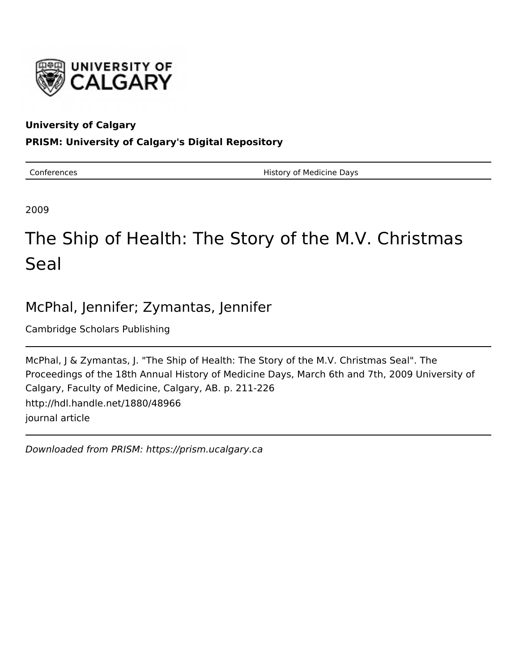

## **University of Calgary**

## **PRISM: University of Calgary's Digital Repository**

Conferences **History of Medicine Days** 

2009

# The Ship of Health: The Story of the M.V. Christmas **Seal**

# McPhal, Jennifer; Zymantas, Jennifer

Cambridge Scholars Publishing

McPhal, J & Zymantas, J. "The Ship of Health: The Story of the M.V. Christmas Seal". The Proceedings of the 18th Annual History of Medicine Days, March 6th and 7th, 2009 University of Calgary, Faculty of Medicine, Calgary, AB. p. 211-226 http://hdl.handle.net/1880/48966 journal article

Downloaded from PRISM: https://prism.ucalgary.ca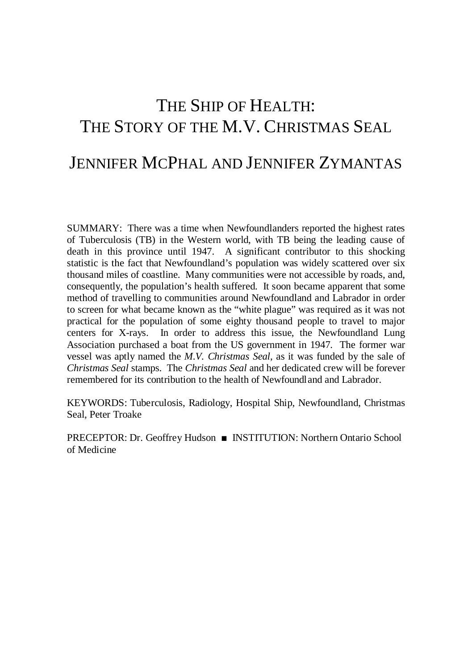# THE SHIP OF HEALTH: THE STORY OF THE M.V. CHRISTMAS SEAL

# JENNIFER MCPHAL AND JENNIFER ZYMANTAS

SUMMARY: There was a time when Newfoundlanders reported the highest rates of Tuberculosis (TB) in the Western world, with TB being the leading cause of death in this province until 1947. A significant contributor to this shocking statistic is the fact that Newfoundland's population was widely scattered over six thousand miles of coastline. Many communities were not accessible by roads, and, consequently, the population's health suffered. It soon became apparent that some method of travelling to communities around Newfoundland and Labrador in order to screen for what became known as the "white plague" was required as it was not practical for the population of some eighty thousand people to travel to major centers for X-rays. In order to address this issue, the Newfoundland Lung Association purchased a boat from the US government in 1947. The former war vessel was aptly named the *M.V. Christmas Seal*, as it was funded by the sale of *Christmas Seal* stamps. The *Christmas Seal* and her dedicated crew will be forever remembered for its contribution to the health of Newfoundland and Labrador.

KEYWORDS: Tuberculosis, Radiology, Hospital Ship, Newfoundland, Christmas Seal, Peter Troake

PRECEPTOR: Dr. Geoffrey Hudson ■ INSTITUTION: Northern Ontario School of Medicine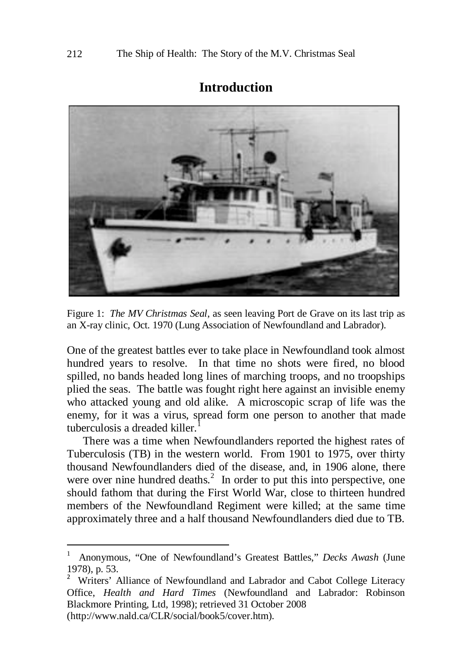#### **Introduction**



Figure 1: *The MV Christmas Seal*, as seen leaving Port de Grave on its last trip as an X-ray clinic, Oct. 1970 (Lung Association of Newfoundland and Labrador).

One of the greatest battles ever to take place in Newfoundland took almost hundred years to resolve. In that time no shots were fired, no blood spilled, no bands headed long lines of marching troops, and no troopships plied the seas. The battle was fought right here against an invisible enemy who attacked young and old alike. A microscopic scrap of life was the enemy, for it was a virus, spread form one person to another that made tuberculosis a dreaded killer

There was a time when Newfoundlanders reported the highest rates of Tuberculosis (TB) in the western world. From 1901 to 1975, over thirty thousand Newfoundlanders died of the disease, and, in 1906 alone, there were over nine hundred deaths. $2 \text{ In order to put this into perspective, one}$  $2 \text{ In order to put this into perspective, one}$ should fathom that during the First World War, close to thirteen hundred members of the Newfoundland Regiment were killed; at the same time approximately three and a half thousand Newfoundlanders died due to TB.

<span id="page-2-0"></span> $\frac{1}{1}$  Anonymous, "One of Newfoundland's Greatest Battles," *Decks Awash* (June 1978), p. 53.

<span id="page-2-1"></span><sup>2</sup> Writers' Alliance of Newfoundland and Labrador and Cabot College Literacy Office, *Health and Hard Times* (Newfoundland and Labrador: Robinson Blackmore Printing, Ltd, 1998); retrieved 31 October 2008 (http://www.nald.ca/CLR/social/book5/cover.htm).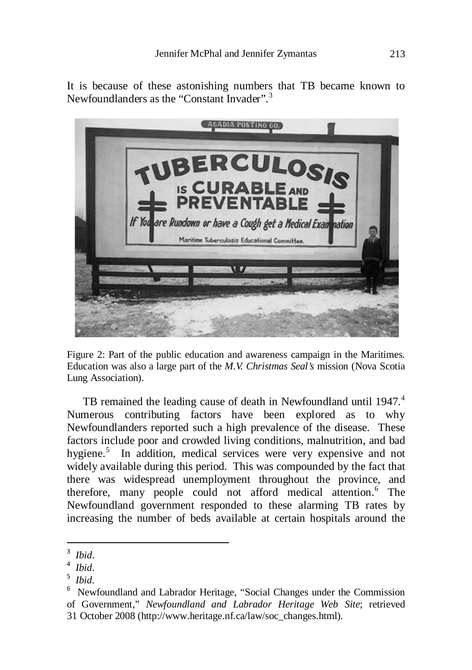It is because of these astonishing numbers that TB became known to Newfoundlanders as the "Constant Invader".<sup>[3](#page-3-0)</sup>



Figure 2: Part of the public education and awareness campaign in the Maritimes. Education was also a large part of the *M.V. Christmas Seal's* mission (Nova Scotia Lung Association).

TB remained the leading cause of death in Newfoundland until 19[4](#page-3-1)7.<sup>4</sup> Numerous contributing factors have been explored as to why Newfoundlanders reported such a high prevalence of the disease. These factors include poor and crowded living conditions, malnutrition, and bad hygiene.<sup>[5](#page-3-2)</sup> In addition, medical services were very expensive and not widely available during this period. This was compounded by the fact that there was widespread unemployment throughout the province, and therefore, many people could not afford medical attention.<sup>[6](#page-3-3)</sup> The Newfoundland government responded to these alarming TB rates by increasing the number of beds available at certain hospitals around the

<sup>-&</sup>lt;br>3 *Ibid*.

<span id="page-3-1"></span><span id="page-3-0"></span> $4$  Ihid. <sup>4</sup> Ibid.<br><sup>5</sup> Ibid.

<span id="page-3-2"></span><sup>&</sup>lt;sup>5</sup> *Ibid*.<br><sup>6</sup> N<sub>ov</sub>

<span id="page-3-3"></span><sup>&</sup>lt;sup>6</sup> Newfoundland and Labrador Heritage, "Social Changes under the Commission of Government," *Newfoundland and Labrador Heritage Web Site*; retrieved 31 October 2008 [\(http://www.heritage.nf.ca/law/soc\\_changes.html\)](http://www.heritage.nf.ca/law/soc_changes.html).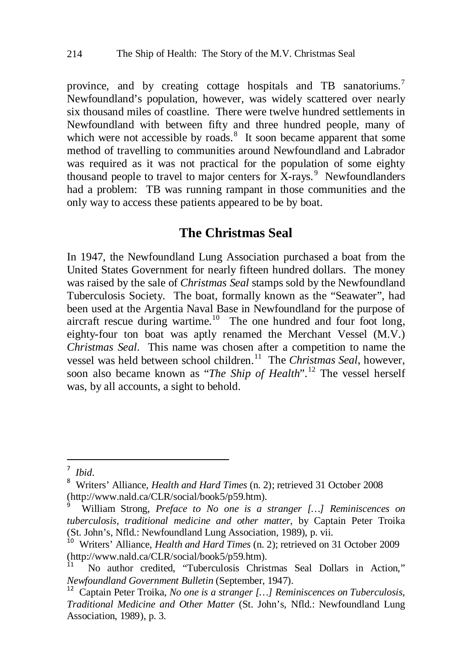province, and by creating cottage hospitals and TB sanatoriums.<sup>[7](#page-4-0)</sup> Newfoundland's population, however, was widely scattered over nearly six thousand miles of coastline. There were twelve hundred settlements in Newfoundland with between fifty and three hundred people, many of which were not accessible by roads. $8$  It soon became apparent that some method of travelling to communities around Newfoundland and Labrador was required as it was not practical for the population of some eighty thousand people to travel to major centers for X-rays. $9$  Newfoundlanders had a problem: TB was running rampant in those communities and the only way to access these patients appeared to be by boat.

#### **The Christmas Seal**

In 1947, the Newfoundland Lung Association purchased a boat from the United States Government for nearly fifteen hundred dollars. The money was raised by the sale of *Christmas Seal* stamps sold by the Newfoundland Tuberculosis Society. The boat, formally known as the "Seawater", had been used at the Argentia Naval Base in Newfoundland for the purpose of aircraft rescue during wartime.<sup>[10](#page-4-3)</sup> The one hundred and four foot long, eighty-four ton boat was aptly renamed the Merchant Vessel (M.V.) *Christmas Seal*. This name was chosen after a competition to name the vessel was held between school children.<sup>11</sup> The *Christmas Seal*, however, soon also became known as "*The Ship of Health*".[12](#page-4-5) The vessel herself was, by all accounts, a sight to behold.

 $\frac{1}{7}$  $<sup>7</sup>$  *Ibid.*</sup>

<span id="page-4-1"></span><span id="page-4-0"></span>Writers' Alliance, *Health and Hard Times* (n. 2); retrieved 31 October 2008 [\(http://www.nald.ca/CLR/social/book5/p59.htm\)](http://www.nald.ca/CLR/social/book5/p59.htm). <sup>9</sup>

<span id="page-4-2"></span>William Strong, *Preface to No one is a stranger […] Reminiscences on tuberculosis, traditional medicine and other matter*, by Captain Peter Troika (St. John's, Nfld.: Newfoundland Lung Association, 1989), p. vii.

<span id="page-4-3"></span><sup>&</sup>lt;sup>10</sup> Writers' Alliance, *Health and Hard Times* (n. 2); retrieved on 31 October 2009 [\(http://www.nald.ca/CLR/social/book5/p59.htm\)](http://www.nald.ca/CLR/social/book5/p59.htm).<br><sup>11</sup> No author credited, "Tuberculosis Christmas Seal Dollars in Action,"

<span id="page-4-4"></span>*Newfoundland Government Bulletin* (September, 1947). <sup>12</sup> Captain Peter Troika, *No one is a stranger […] Reminiscences on Tuberculosis,* 

<span id="page-4-5"></span>*Traditional Medicine and Other Matter* (St. John's, Nfld.: Newfoundland Lung Association, 1989), p. 3.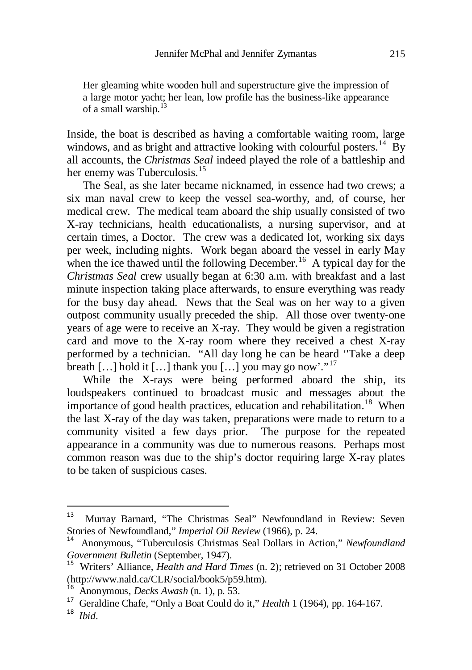Her gleaming white wooden hull and superstructure give the impression of a large motor yacht; her lean, low profile has the business-like appearance of a small warship.[13](#page-5-0)

Inside, the boat is described as having a comfortable waiting room, large windows, and as bright and attractive looking with colourful posters.<sup>[14](#page-5-1)</sup> By all accounts, the *Christmas Seal* indeed played the role of a battleship and her enemy was Tuberculosis.<sup>[15](#page-5-2)</sup>

The Seal, as she later became nicknamed, in essence had two crews; a six man naval crew to keep the vessel sea-worthy, and, of course, her medical crew. The medical team aboard the ship usually consisted of two X-ray technicians, health educationalists, a nursing supervisor, and at certain times, a Doctor. The crew was a dedicated lot, working six days per week, including nights. Work began aboard the vessel in early May when the ice thawed until the following December.<sup>[16](#page-5-3)</sup> A typical day for the *Christmas Seal* crew usually began at 6:30 a.m. with breakfast and a last minute inspection taking place afterwards, to ensure everything was ready for the busy day ahead. News that the Seal was on her way to a given outpost community usually preceded the ship. All those over twenty-one years of age were to receive an X-ray. They would be given a registration card and move to the X-ray room where they received a chest X-ray performed by a technician. "All day long he can be heard ''Take a deep breath [...] hold it [...] thank you  $\lceil$ ...] you may go now'."<sup>[17](#page-5-4)</sup>

While the X-rays were being performed aboard the ship, its loudspeakers continued to broadcast music and messages about the importance of good health practices, education and rehabilitation.<sup>[18](#page-5-5)</sup> When the last X-ray of the day was taken, preparations were made to return to a community visited a few days prior. The purpose for the repeated appearance in a community was due to numerous reasons. Perhaps most common reason was due to the ship's doctor requiring large X-ray plates to be taken of suspicious cases.

<span id="page-5-0"></span> <sup>13</sup> Murray Barnard, "The Christmas Seal" Newfoundland in Review: Seven Stories of Newfoundland," *Imperial Oil Review* (1966), p. 24.

<span id="page-5-1"></span><sup>14</sup> Anonymous, "Tuberculosis Christmas Seal Dollars in Action," *Newfoundland* 

<span id="page-5-2"></span>*Government Bulletin* (September, 1947). <sup>15</sup> Writers' Alliance, *Health and Hard Times* (n. 2); retrieved on 31 October 2008 [\(http://www.nald.ca/CLR/social/book5/p59.htm\)](http://www.nald.ca/CLR/social/book5/p59.htm).<br><sup>16</sup> Anonymous, *Decks Awash* (n. 1), p. 53.<br><sup>17</sup> Geraldine Chafe, "Only a Boat Could do it," *Health* 1 (1964), pp. 164-167.<br><sup>18</sup> *Ibid* 

<span id="page-5-3"></span>

<span id="page-5-4"></span>

<span id="page-5-5"></span>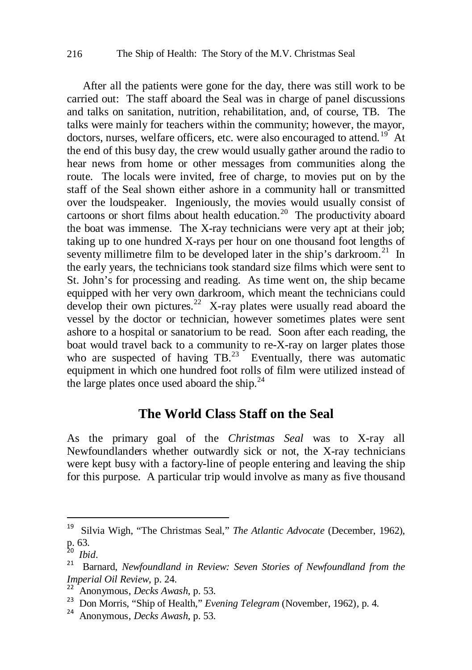After all the patients were gone for the day, there was still work to be carried out: The staff aboard the Seal was in charge of panel discussions and talks on sanitation, nutrition, rehabilitation, and, of course, TB. The talks were mainly for teachers within the community; however, the mayor, doctors, nurses, welfare officers, etc. were also encouraged to attend.<sup>19</sup> At the end of this busy day, the crew would usually gather around the radio to hear news from home or other messages from communities along the route. The locals were invited, free of charge, to movies put on by the staff of the Seal shown either ashore in a community hall or transmitted over the loudspeaker. Ingeniously, the movies would usually consist of cartoons or short films about health education.<sup>[20](#page-6-1)</sup> The productivity aboard the boat was immense. The X-ray technicians were very apt at their job; taking up to one hundred X-rays per hour on one thousand foot lengths of seventy millimetre film to be developed later in the ship's darkroom.<sup>[21](#page-6-2)</sup> In the early years, the technicians took standard size films which were sent to St. John's for processing and reading. As time went on, the ship became equipped with her very own darkroom, which meant the technicians could develop their own pictures.<sup>[22](#page-6-3)</sup> X-ray plates were usually read aboard the vessel by the doctor or technician, however sometimes plates were sent ashore to a hospital or sanatorium to be read. Soon after each reading, the boat would travel back to a community to re-X-ray on larger plates those who are suspected of having  $TB<sup>23</sup>$  Eventually, there was automatic equipment in which one hundred foot rolls of film were utilized instead of the large plates once used aboard the ship. $^{24}$  $^{24}$  $^{24}$ 

#### **The World Class Staff on the Seal**

As the primary goal of the *Christmas Seal* was to X-ray all Newfoundlanders whether outwardly sick or not, the X-ray technicians were kept busy with a factory-line of people entering and leaving the ship for this purpose. A particular trip would involve as many as five thousand

<span id="page-6-0"></span> <sup>19</sup> Silvia Wigh, "The Christmas Seal," *The Atlantic Advocate* (December, 1962), p. 63.

<span id="page-6-2"></span><span id="page-6-1"></span><sup>&</sup>lt;sup>20</sup> *Ibid.* 21 *Ibid.* 21 *Publismand in Review: Seven Stories of Newfoundland from the*  $\frac{21}{\pi}$  **Barnard,** *Newfoundland* from the *Imperial Oil Review*, p. 24.<br><sup>22</sup> Anonymous, *Decks Awash*, p. 53.<br><sup>23</sup> Don Morris, "Ship of Health," *Evening Telegram* (November, 1962), p. 4.<br><sup>24</sup> Anonymous, *Decks Awash*, p. 53.

<span id="page-6-3"></span>

<span id="page-6-4"></span>

<span id="page-6-5"></span>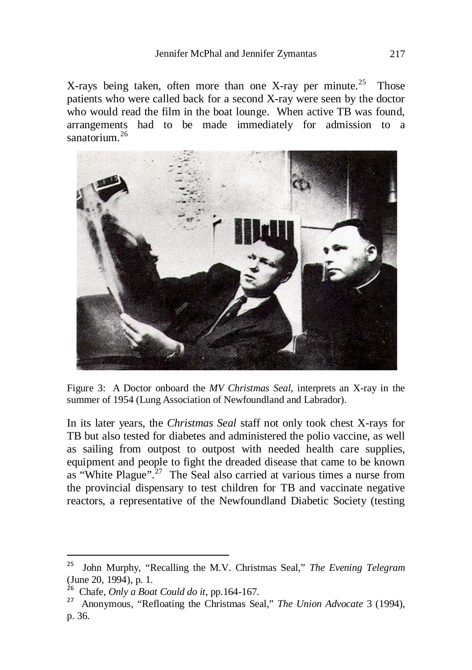X-rays being taken, often more than one X-ray per minute.<sup>[25](#page-7-0)</sup> Those patients who were called back for a second X-ray were seen by the doctor who would read the film in the boat lounge. When active TB was found, arrangements had to be made immediately for admission to a sanatorium.[26](#page-7-1)



Figure 3: A Doctor onboard the *MV Christmas Seal*, interprets an X-ray in the summer of 1954 (Lung Association of Newfoundland and Labrador).

In its later years, the *Christmas Seal* staff not only took chest X-rays for TB but also tested for diabetes and administered the polio vaccine, as well as sailing from outpost to outpost with needed health care supplies, equipment and people to fight the dreaded disease that came to be known as "White Plague". $27$  The Seal also carried at various times a nurse from the provincial dispensary to test children for TB and vaccinate negative reactors, a representative of the Newfoundland Diabetic Society (testing

<span id="page-7-1"></span><span id="page-7-0"></span> <sup>25</sup> John Murphy, "Recalling the M.V. Christmas Seal," *The Evening Telegram* (June 20, 1994), p. 1.<br><sup>26</sup> Chafe. *Only a Boat Could do it*, pp. 164-167.

<span id="page-7-2"></span><sup>&</sup>lt;sup>27</sup> Anonymous, "Refloating the Christmas Seal," *The Union Advocate* 3 (1994), p. 36.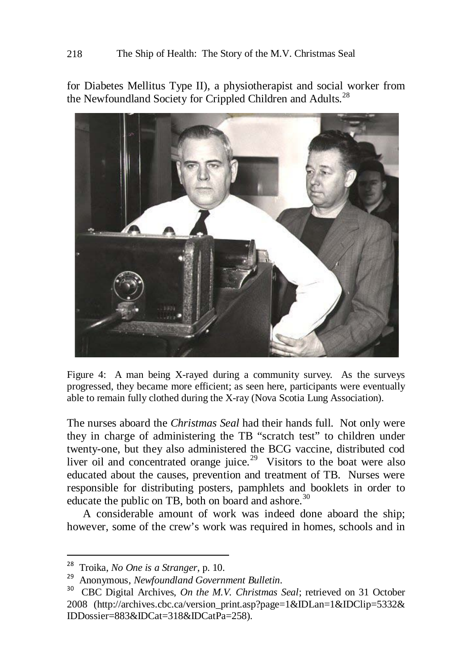for Diabetes Mellitus Type II), a physiotherapist and social worker from the Newfoundland Society for Crippled Children and Adults.<sup>[28](#page-8-0)</sup>



Figure 4: A man being X-rayed during a community survey. As the surveys progressed, they became more efficient; as seen here, participants were eventually able to remain fully clothed during the X-ray (Nova Scotia Lung Association).

The nurses aboard the *Christmas Seal* had their hands full. Not only were they in charge of administering the TB "scratch test" to children under twenty-one, but they also administered the BCG vaccine, distributed cod liver oil and concentrated orange juice.<sup>[29](#page-8-1)</sup> Visitors to the boat were also educated about the causes, prevention and treatment of TB. Nurses were responsible for distributing posters, pamphlets and booklets in order to educate the public on TB, both on board and ashore.<sup>[30](#page-8-2)</sup>

A considerable amount of work was indeed done aboard the ship; however, some of the crew's work was required in homes, schools and in

<span id="page-8-2"></span><span id="page-8-1"></span>

<span id="page-8-0"></span><sup>&</sup>lt;sup>28</sup> Troika, *No One is a Stranger*, p. 10.<br><sup>29</sup> Anonymous, *Newfoundland Government Bulletin*.<br><sup>30</sup> CBC Digital Archives, *On the M.V. Christmas Seal*; retrieved on 31 October 2008 [\(http://archives.cbc.ca/version\\_print.asp?page=1&IDLan=1&IDClip=5332&](http://archives.cbc.ca/version_print.asp?page=1&IDLan=1&IDClip=5332&%20IDDossier=883&IDCat=318&IDCatPa=258)  [IDDossier=883&IDCat=318&IDCatPa=258\)](http://archives.cbc.ca/version_print.asp?page=1&IDLan=1&IDClip=5332&%20IDDossier=883&IDCat=318&IDCatPa=258).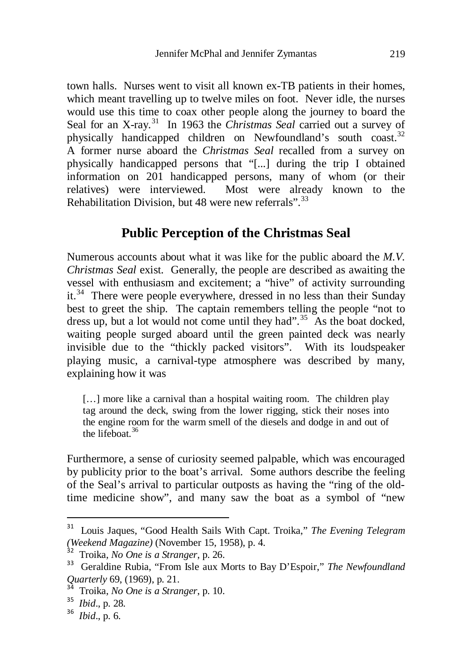town halls. Nurses went to visit all known ex-TB patients in their homes, which meant travelling up to twelve miles on foot. Never idle, the nurses would use this time to coax other people along the journey to board the Seal for an X-ray.<sup>31</sup> In 1963 the *Christmas Seal* carried out a survey of physically handicapped children on Newfoundland's south coast.[32](#page-9-1) A former nurse aboard the *Christmas Seal* recalled from a survey on physically handicapped persons that "[...] during the trip I obtained information on 201 handicapped persons, many of whom (or their relatives) were interviewed. Most were already known to the Rehabilitation Division, but 48 were new referrals".[33](#page-9-2)

#### **Public Perception of the Christmas Seal**

Numerous accounts about what it was like for the public aboard the *M.V. Christmas Seal* exist. Generally, the people are described as awaiting the vessel with enthusiasm and excitement; a "hive" of activity surrounding  $it.^{34}$  There were people everywhere, dressed in no less than their Sunday best to greet the ship. The captain remembers telling the people "not to dress up, but a lot would not come until they had".<sup>35</sup> As the boat docked. waiting people surged aboard until the green painted deck was nearly invisible due to the "thickly packed visitors". With its loudspeaker playing music, a carnival-type atmosphere was described by many, explaining how it was

[...] more like a carnival than a hospital waiting room. The children play tag around the deck, swing from the lower rigging, stick their noses into the engine room for the warm smell of the diesels and dodge in and out of the lifeboat.[36](#page-9-5)

Furthermore, a sense of curiosity seemed palpable, which was encouraged by publicity prior to the boat's arrival. Some authors describe the feeling of the Seal's arrival to particular outposts as having the "ring of the oldtime medicine show", and many saw the boat as a symbol of "new

<span id="page-9-0"></span> <sup>31</sup> Louis Jaques, "Good Health Sails With Capt. Troika," *The Evening Telegram (Weekend Magazine)* (November 15, 1958), p. 4. <sup>32</sup> Troika, *No One is a Stranger*, p. 26. <sup>33</sup> Geraldine Rubia, "From Isle aux Morts to Bay D'Espoir," *The Newfoundland* 

<span id="page-9-2"></span><span id="page-9-1"></span>*Quarterly* 69, (1969), p. 21.<br><sup>34</sup> Troika, *No One is a Stranger*, p. 10.<br><sup>35</sup> *Ibid.*, p. 28.<br><sup>36</sup> *Ibid.*, p. 6.

<span id="page-9-3"></span>

<span id="page-9-4"></span>

<span id="page-9-5"></span>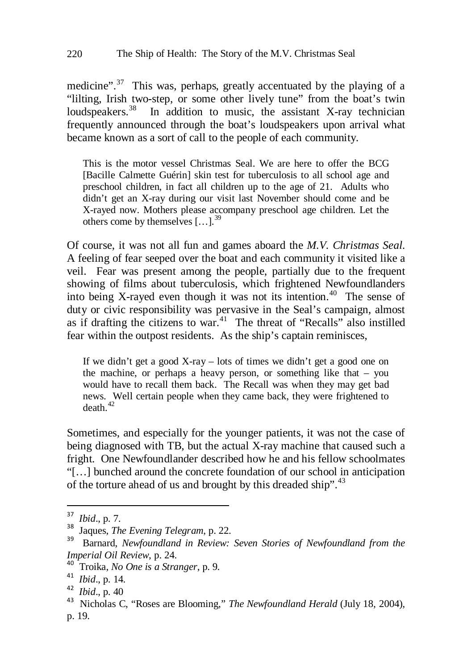medicine".<sup>[37](#page-10-0)</sup> This was, perhaps, greatly accentuated by the playing of a "lilting, Irish two-step, or some other lively tune" from the boat's twin loudspeakers.<sup>[38](#page-10-1)</sup> In addition to music, the assistant X-ray technician frequently announced through the boat's loudspeakers upon arrival what became known as a sort of call to the people of each community.

This is the motor vessel Christmas Seal. We are here to offer the BCG [Bacille Calmette Guérin] skin test for tuberculosis to all school age and preschool children, in fact all children up to the age of 21. Adults who didn't get an X-ray during our visit last November should come and be X-rayed now. Mothers please accompany preschool age children. Let the others come by themselves [...].<sup>[39](#page-10-2)</sup>

Of course, it was not all fun and games aboard the *M.V. Christmas Seal*. A feeling of fear seeped over the boat and each community it visited like a veil. Fear was present among the people, partially due to the frequent showing of films about tuberculosis, which frightened Newfoundlanders into being X-rayed even though it was not its intention.<sup>40</sup> The sense of duty or civic responsibility was pervasive in the Seal's campaign, almost as if drafting the citizens to war.<sup>[41](#page-10-4)</sup> The threat of "Recalls" also instilled fear within the outpost residents. As the ship's captain reminisces,

If we didn't get a good X-ray – lots of times we didn't get a good one on the machine, or perhaps a heavy person, or something like that – you would have to recall them back. The Recall was when they may get bad news. Well certain people when they came back, they were frightened to  $death<sup>42</sup>$  $death<sup>42</sup>$  $death<sup>42</sup>$ 

Sometimes, and especially for the younger patients, it was not the case of being diagnosed with TB, but the actual X-ray machine that caused such a fright. One Newfoundlander described how he and his fellow schoolmates "[…] bunched around the concrete foundation of our school in anticipation of the torture ahead of us and brought by this dreaded ship".<sup>[43](#page-10-6)</sup>

<span id="page-10-1"></span><span id="page-10-0"></span><sup>&</sup>lt;sup>37</sup> *Ibid.*, p. 7.<br><sup>38</sup> Jaques, *The Evening Telegram*, p. 22.<br><sup>39</sup> Barnard, *Newfoundland in Review: Seven Stories of Newfoundland from the* 

<span id="page-10-4"></span>

<span id="page-10-6"></span><span id="page-10-5"></span>

<span id="page-10-3"></span><span id="page-10-2"></span>*Imperial Oil Review*, p. 24.<br>
<sup>40</sup> Troika, *No One is a Stranger*, p. 9.<br>
<sup>41</sup> *Ibid.*, p. 14.<br>
<sup>42</sup> *Ibid.*, p. 40<br>
<sup>43</sup> Nicholas C. "Roses are Blooming," *The Newfoundland Herald* (July 18, 2004), p. 19.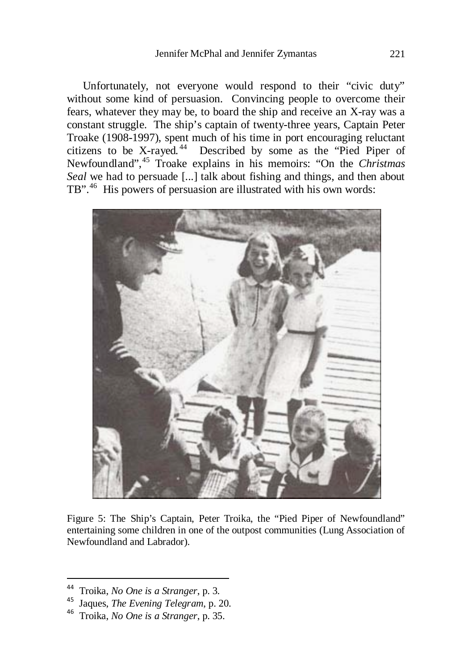Unfortunately, not everyone would respond to their "civic duty" without some kind of persuasion. Convincing people to overcome their fears, whatever they may be, to board the ship and receive an X-ray was a constant struggle. The ship's captain of twenty-three years, Captain Peter Troake (1908-1997), spent much of his time in port encouraging reluctant citizens to be X-rayed. [44](#page-11-0) Described by some as the "Pied Piper of Newfoundland",[45](#page-11-1) Troake explains in his memoirs: "On the *Christmas Seal* we had to persuade [...] talk about fishing and things, and then about TB".<sup>[46](#page-11-2)</sup> His powers of persuasion are illustrated with his own words:



Figure 5: The Ship's Captain, Peter Troika, the "Pied Piper of Newfoundland" entertaining some children in one of the outpost communities (Lung Association of Newfoundland and Labrador).

<span id="page-11-1"></span>

<span id="page-11-0"></span>Troika, *No One is a Stranger*, p. 3.<br>Jaques, *The Evening Telegram*, p. 20.<br>Troika, *No One is a Stranger*, p. 35.

<span id="page-11-2"></span>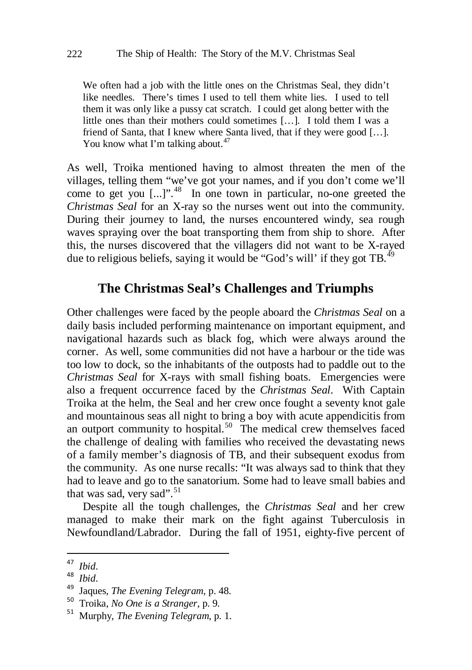We often had a job with the little ones on the Christmas Seal, they didn't like needles. There's times I used to tell them white lies. I used to tell them it was only like a pussy cat scratch. I could get along better with the little ones than their mothers could sometimes […]. I told them I was a friend of Santa, that I knew where Santa lived, that if they were good […]. You know what I'm talking about. $47$ 

As well, Troika mentioned having to almost threaten the men of the villages, telling them "we've got your names, and if you don't come we'll come to get you  $[...]$ <sup>", 48</sup> In one town in particular, no-one greeted the *Christmas Seal* for an X-ray so the nurses went out into the community. During their journey to land, the nurses encountered windy, sea rough waves spraying over the boat transporting them from ship to shore. After this, the nurses discovered that the villagers did not want to be X-rayed due to religious beliefs, saying it would be "God's will' if they got TB.<sup>[49](#page-12-2)</sup>

#### **The Christmas Seal's Challenges and Triumphs**

Other challenges were faced by the people aboard the *Christmas Seal* on a daily basis included performing maintenance on important equipment, and navigational hazards such as black fog, which were always around the corner. As well, some communities did not have a harbour or the tide was too low to dock, so the inhabitants of the outposts had to paddle out to the *Christmas Seal* for X-rays with small fishing boats. Emergencies were also a frequent occurrence faced by the *Christmas Seal*. With Captain Troika at the helm, the Seal and her crew once fought a seventy knot gale and mountainous seas all night to bring a boy with acute appendicitis from an outport community to hospital.<sup>50</sup> The medical crew themselves faced the challenge of dealing with families who received the devastating news of a family member's diagnosis of TB, and their subsequent exodus from the community. As one nurse recalls: "It was always sad to think that they had to leave and go to the sanatorium. Some had to leave small babies and that was sad, very sad".<sup>[51](#page-12-4)</sup>

Despite all the tough challenges, the *Christmas Seal* and her crew managed to make their mark on the fight against Tuberculosis in Newfoundland/Labrador. During the fall of 1951, eighty-five percent of

<span id="page-12-2"></span>

<span id="page-12-1"></span><span id="page-12-0"></span><sup>47</sup> *Ibid*. <sup>48</sup> *Ibid*. <sup>49</sup> Jaques, *The Evening Telegram*, p. 48. <sup>50</sup> Troika, *No One is a Stranger*, p. 9. <sup>51</sup> Murphy, *The Evening Telegram*, p. 1.

<span id="page-12-3"></span>

<span id="page-12-4"></span>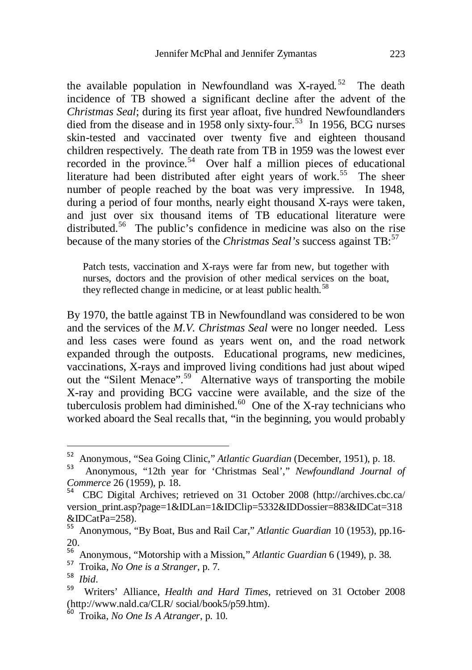the available population in Newfoundland was X-rayed.<sup>[52](#page-13-0)</sup> The death incidence of TB showed a significant decline after the advent of the *Christmas Seal*; during its first year afloat, five hundred Newfoundlanders died from the disease and in 1958 only sixty-four.<sup>[53](#page-13-1)</sup> In 1956, BCG nurses skin-tested and vaccinated over twenty five and eighteen thousand children respectively. The death rate from TB in 1959 was the lowest ever recorded in the province.<sup>54</sup> Over half a million pieces of educational literature had been distributed after eight years of work.<sup>55</sup> The sheer number of people reached by the boat was very impressive. In 1948, during a period of four months, nearly eight thousand X-rays were taken, and just over six thousand items of TB educational literature were distributed.<sup>[56](#page-13-4)</sup> The public's confidence in medicine was also on the rise because of the many stories of the *Christmas Seal's* success against TB:<sup>[57](#page-13-5)</sup>

Patch tests, vaccination and X-rays were far from new, but together with nurses, doctors and the provision of other medical services on the boat, they reflected change in medicine, or at least public health.<sup>[58](#page-13-6)</sup>

By 1970, the battle against TB in Newfoundland was considered to be won and the services of the *M.V. Christmas Seal* were no longer needed. Less and less cases were found as years went on, and the road network expanded through the outposts. Educational programs, new medicines, vaccinations, X-rays and improved living conditions had just about wiped out the "Silent Menace".[59](#page-13-7) Alternative ways of transporting the mobile X-ray and providing BCG vaccine were available, and the size of the tuberculosis problem had diminished. $60$  One of the X-ray technicians who worked aboard the Seal recalls that, "in the beginning, you would probably

<span id="page-13-0"></span> <sup>52</sup> Anonymous, "Sea Going Clinic," *Atlantic Guardian* (December, 1951), p. 18.

<span id="page-13-1"></span><sup>53</sup> Anonymous, "12th year for 'Christmas Seal'," *Newfoundland Journal of Commerce* 26 (1959), p. 18.<br><sup>54</sup> CBC Digital Archives: retrieved on 31 October 2008 (http://archives.cbc.ca/

<span id="page-13-2"></span>[version\\_print.asp?page=1&IDLan=1&IDClip=5332&IDDossier=883&IDCat=318](http://archives.cbc.ca/%20version_print.asp?page=1&IDLan=1&IDClip=5332&IDDossier=883&IDCat=318&IDCatPa=258)

<span id="page-13-3"></span>[<sup>&</sup>amp;IDCatPa=258\)](http://archives.cbc.ca/%20version_print.asp?page=1&IDLan=1&IDClip=5332&IDDossier=883&IDCat=318&IDCatPa=258). <sup>55</sup> Anonymous, "By Boat, Bus and Rail Car," *Atlantic Guardian* 10 (1953), pp.16- 20.

<span id="page-13-5"></span><span id="page-13-4"></span><sup>&</sup>lt;sup>56</sup> Anonymous, "Motorship with a Mission," *Atlantic Guardian* 6 (1949), p. 38.<br><sup>57</sup> Troika, *No One is a Stranger*, p. 7.<br><sup>58</sup> *Ibid.*<br><sup>59</sup> Writers' Alliance. *Health and Hard Times*, retrieved on 31 October 2008

<span id="page-13-7"></span><span id="page-13-6"></span>[<sup>\(</sup>http://www.nald.ca/CLR/ social/book5/p59.htm\)](http://www.nald.ca/CLR/%20social/book5/p59.htm).<br><sup>60</sup> Troika, *No One Is A Atranger*, p. 10.

<span id="page-13-8"></span>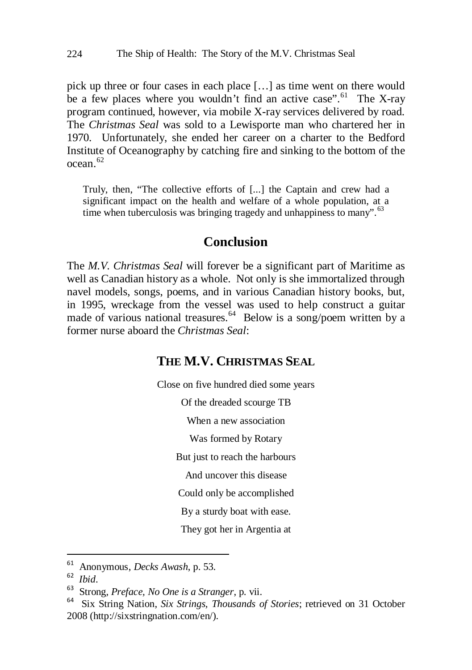pick up three or four cases in each place […] as time went on there would be a few places where you wouldn't find an active case".<sup>[61](#page-14-0)</sup> The X-ray program continued, however, via mobile X-ray services delivered by road. The *Christmas Seal* was sold to a Lewisporte man who chartered her in 1970. Unfortunately, she ended her career on a charter to the Bedford Institute of Oceanography by catching fire and sinking to the bottom of the  $ocean<sup>62</sup>$  $ocean<sup>62</sup>$  $ocean<sup>62</sup>$ 

Truly, then, "The collective efforts of [...] the Captain and crew had a significant impact on the health and welfare of a whole population, at a time when tuberculosis was bringing tragedy and unhappiness to many".<sup>[63](#page-14-2)</sup>

#### **Conclusion**

The *M.V. Christmas Seal* will forever be a significant part of Maritime as well as Canadian history as a whole. Not only is she immortalized through navel models, songs, poems, and in various Canadian history books, but, in 1995, wreckage from the vessel was used to help construct a guitar made of various national treasures.<sup>64</sup> Below is a song/poem written by a former nurse aboard the *Christmas Seal*:

#### **THE M.V. CHRISTMAS SEAL**

Close on five hundred died some years Of the dreaded scourge TB When a new association Was formed by Rotary But just to reach the harbours And uncover this disease Could only be accomplished By a sturdy boat with ease. They got her in Argentia at

<span id="page-14-3"></span><span id="page-14-2"></span>

<span id="page-14-1"></span><span id="page-14-0"></span><sup>61</sup> Anonymous, *Decks Awash*, p. 53. <sup>62</sup> *Ibid*. <sup>63</sup> Strong, *Preface, No One is a Stranger*, p. vii. <sup>64</sup> Six String Nation, *Six Strings, Thousands of Stories*; retrieved on 31 October 2008 [\(http://sixstringnation.com/en/\)](http://sixstringnation.com/en/).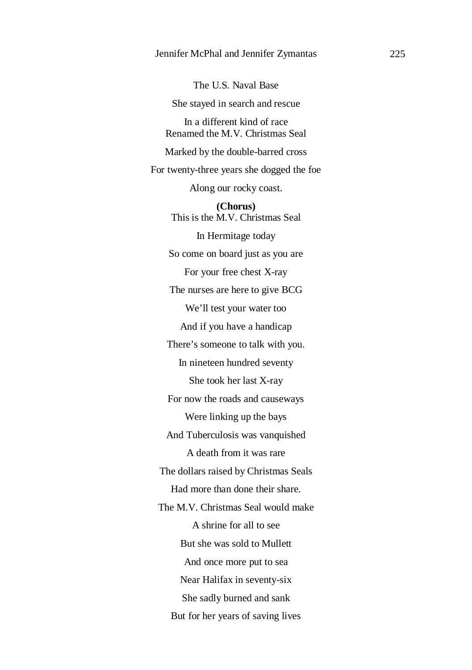The U.S. Naval Base She stayed in search and rescue In a different kind of race Renamed the M.V. Christmas Seal Marked by the double-barred cross For twenty-three years she dogged the foe Along our rocky coast. **(Chorus)** This is the M.V. Christmas Seal In Hermitage today So come on board just as you are For your free chest X-ray The nurses are here to give BCG We'll test your water too And if you have a handicap There's someone to talk with you. In nineteen hundred seventy She took her last X-ray For now the roads and causeways Were linking up the bays And Tuberculosis was vanquished A death from it was rare The dollars raised by Christmas Seals Had more than done their share. The M.V. Christmas Seal would make A shrine for all to see But she was sold to Mullett And once more put to sea Near Halifax in seventy-six She sadly burned and sank But for her years of saving lives